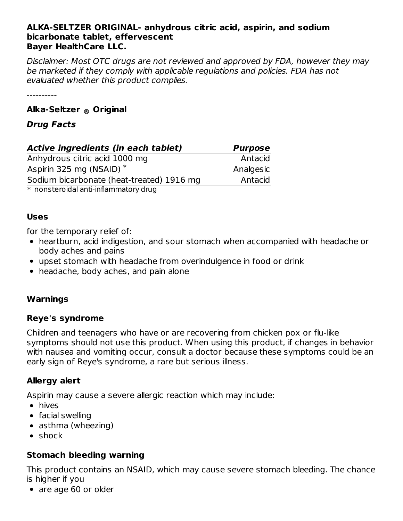#### **ALKA-SELTZER ORIGINAL- anhydrous citric acid, aspirin, and sodium bicarbonate tablet, effervescent Bayer HealthCare LLC.**

Disclaimer: Most OTC drugs are not reviewed and approved by FDA, however they may be marketed if they comply with applicable regulations and policies. FDA has not evaluated whether this product complies.

----------

# **Alka-Seltzer Original ®**

## **Drug Facts**

| Active ingredients (in each tablet)       | <b>Purpose</b> |
|-------------------------------------------|----------------|
| Anhydrous citric acid 1000 mg             | Antacid        |
| Aspirin 325 mg (NSAID) *                  | Analgesic      |
| Sodium bicarbonate (heat-treated) 1916 mg | Antacid        |
| * nonsteroidal anti-inflammatory drug     |                |

#### **Uses**

for the temporary relief of:

- heartburn, acid indigestion, and sour stomach when accompanied with headache or body aches and pains
- upset stomach with headache from overindulgence in food or drink
- headache, body aches, and pain alone

## **Warnings**

## **Reye's syndrome**

Children and teenagers who have or are recovering from chicken pox or flu-like symptoms should not use this product. When using this product, if changes in behavior with nausea and vomiting occur, consult a doctor because these symptoms could be an early sign of Reye's syndrome, a rare but serious illness.

# **Allergy alert**

Aspirin may cause a severe allergic reaction which may include:

- hives
- facial swelling
- asthma (wheezing)
- shock

# **Stomach bleeding warning**

This product contains an NSAID, which may cause severe stomach bleeding. The chance is higher if you

• are age 60 or older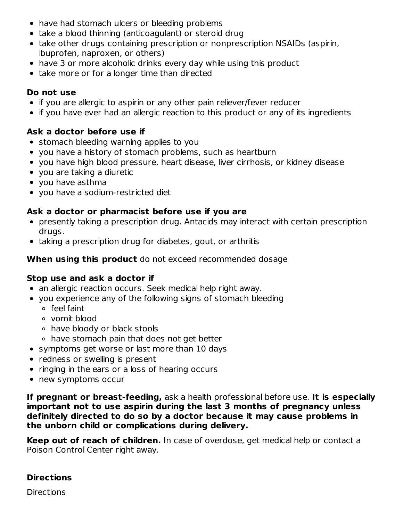- have had stomach ulcers or bleeding problems
- take a blood thinning (anticoagulant) or steroid drug
- take other drugs containing prescription or nonprescription NSAIDs (aspirin, ibuprofen, naproxen, or others)
- have 3 or more alcoholic drinks every day while using this product
- take more or for a longer time than directed

# **Do not use**

- if you are allergic to aspirin or any other pain reliever/fever reducer
- if you have ever had an allergic reaction to this product or any of its ingredients

# **Ask a doctor before use if**

- stomach bleeding warning applies to you
- you have a history of stomach problems, such as heartburn
- you have high blood pressure, heart disease, liver cirrhosis, or kidney disease
- you are taking a diuretic
- you have asthma
- you have a sodium-restricted diet

# **Ask a doctor or pharmacist before use if you are**

- presently taking a prescription drug. Antacids may interact with certain prescription drugs.
- taking a prescription drug for diabetes, gout, or arthritis

## **When using this product** do not exceed recommended dosage

# **Stop use and ask a doctor if**

- an allergic reaction occurs. Seek medical help right away.
- you experience any of the following signs of stomach bleeding
	- feel faint
	- vomit blood
	- have bloody or black stools
	- have stomach pain that does not get better
- symptoms get worse or last more than 10 days
- redness or swelling is present
- ringing in the ears or a loss of hearing occurs
- new symptoms occur

**If pregnant or breast-feeding,** ask a health professional before use. **It is especially important not to use aspirin during the last 3 months of pregnancy unless definitely directed to do so by a doctor because it may cause problems in the unborn child or complications during delivery.**

**Keep out of reach of children.** In case of overdose, get medical help or contact a Poison Control Center right away.

# **Directions**

**Directions**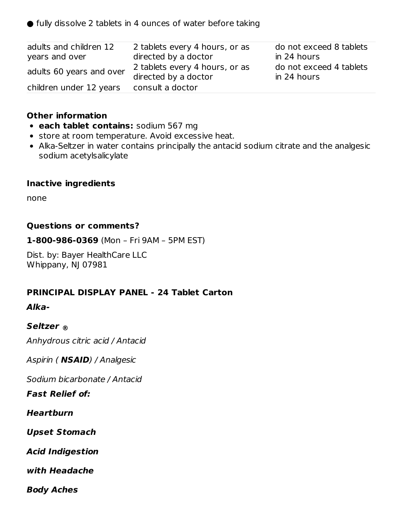$\bullet$  fully dissolve 2 tablets in 4 ounces of water before taking

| adults and children 12<br>years and over | 2 tablets every 4 hours, or as<br>directed by a doctor | do not exceed 8 tablets<br>in 24 hours |
|------------------------------------------|--------------------------------------------------------|----------------------------------------|
| adults 60 years and over                 | 2 tablets every 4 hours, or as<br>directed by a doctor | do not exceed 4 tablets<br>in 24 hours |
| children under 12 years                  | consult a doctor                                       |                                        |

#### **Other information**

- **each tablet contains:** sodium 567 mg
- **•** store at room temperature. Avoid excessive heat.
- Alka-Seltzer in water contains principally the antacid sodium citrate and the analgesic sodium acetylsalicylate

#### **Inactive ingredients**

none

#### **Questions or comments?**

**1-800-986-0369** (Mon – Fri 9AM – 5PM EST)

Dist. by: Bayer HealthCare LLC Whippany, NJ 07981

#### **PRINCIPAL DISPLAY PANEL - 24 Tablet Carton**

#### **Alka-**

## **Seltzer ®**

Anhydrous citric acid / Antacid

Aspirin ( **NSAID**) / Analgesic

Sodium bicarbonate / Antacid

**Fast Relief of:**

**Heartburn**

**Upset Stomach**

**Acid Indigestion**

**with Headache**

**Body Aches**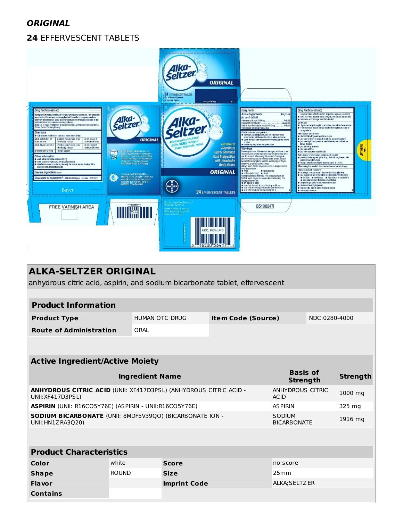## **ORIGINAL**

## **24** EFFERVESCENT TABLETS



| <b>ALKA-SELTZER ORIGINAL</b><br>anhydrous citric acid, aspirin, and sodium bicarbonate tablet, effervescent                             |                        |                       |                                            |                                    |         |                 |  |
|-----------------------------------------------------------------------------------------------------------------------------------------|------------------------|-----------------------|--------------------------------------------|------------------------------------|---------|-----------------|--|
|                                                                                                                                         |                        |                       |                                            |                                    |         |                 |  |
| <b>Product Information</b>                                                                                                              |                        |                       |                                            |                                    |         |                 |  |
| <b>Product Type</b>                                                                                                                     |                        | <b>HUMAN OTC DRUG</b> | NDC:0280-4000<br><b>Item Code (Source)</b> |                                    |         |                 |  |
| <b>Route of Administration</b>                                                                                                          | ORAL                   |                       |                                            |                                    |         |                 |  |
|                                                                                                                                         |                        |                       |                                            |                                    |         |                 |  |
|                                                                                                                                         |                        |                       |                                            |                                    |         |                 |  |
| <b>Active Ingredient/Active Moiety</b>                                                                                                  |                        |                       |                                            |                                    |         |                 |  |
|                                                                                                                                         | <b>Ingredient Name</b> |                       |                                            | <b>Basis of</b><br><b>Strength</b> |         | <b>Strength</b> |  |
| <b>ANHYDROUS CITRIC</b><br><b>ANHYDROUS CITRIC ACID (UNII: XF417D3PSL) (ANHYDROUS CITRIC ACID -</b><br>UNII: XF417D3PSL)<br><b>ACID</b> |                        |                       |                                            |                                    | 1000 mg |                 |  |
| <b>ASPIRIN</b> (UNII: R16CO5Y76E) (ASPIRIN - UNII:R16CO5Y76E)<br><b>ASPIRIN</b>                                                         |                        |                       |                                            |                                    | 325 mg  |                 |  |
| SODIUM BICARBONATE (UNII: 8MDF5V39QO) (BICARBONATE ION -<br>SODIUM<br>UNII: HN1Z RA3Q20)<br><b>BICARBONATE</b>                          |                        |                       |                                            |                                    | 1916 mg |                 |  |
|                                                                                                                                         |                        |                       |                                            |                                    |         |                 |  |
|                                                                                                                                         |                        |                       |                                            |                                    |         |                 |  |
| <b>Product Characteristics</b>                                                                                                          |                        |                       |                                            |                                    |         |                 |  |
| Color                                                                                                                                   | white                  | <b>Score</b>          |                                            | no score                           |         |                 |  |
| <b>Shape</b>                                                                                                                            | <b>ROUND</b>           | <b>Size</b>           |                                            | 25mm                               |         |                 |  |
| Flavor                                                                                                                                  |                        | <b>Imprint Code</b>   |                                            | ALKA; SELTZER                      |         |                 |  |
| <b>Contains</b>                                                                                                                         |                        |                       |                                            |                                    |         |                 |  |